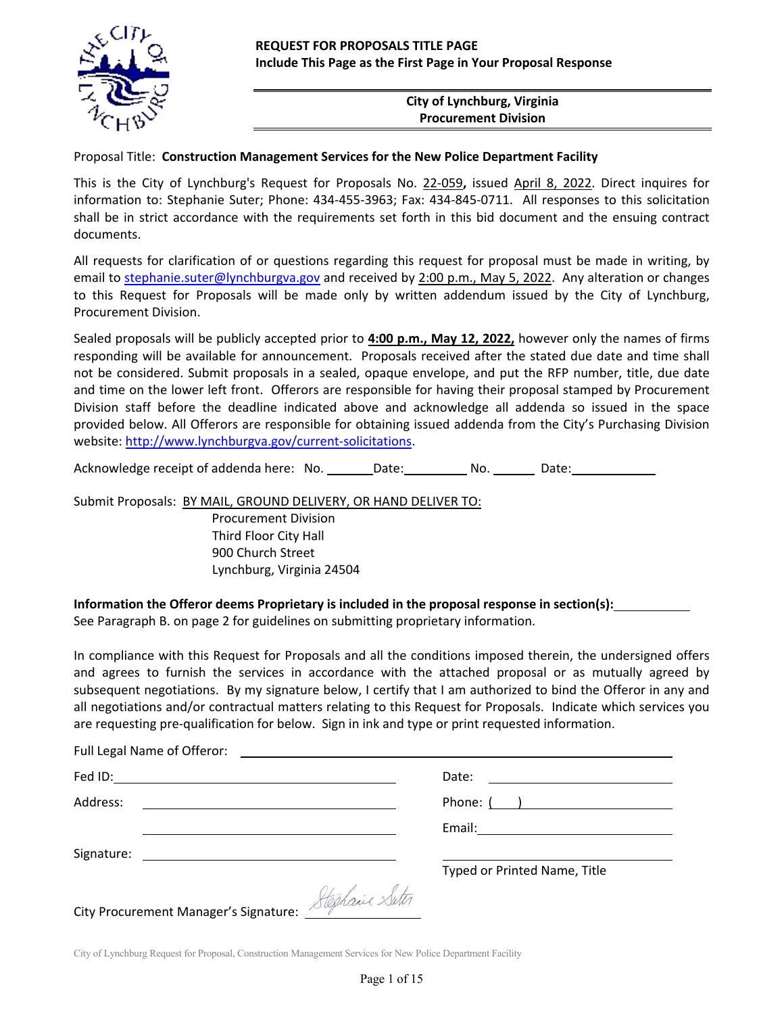

## **City of Lynchburg, Virginia Procurement Division**

### Proposal Title: **Construction Management Services for the New Police Department Facility**

This is the City of Lynchburg's Request for Proposals No. 22‐059**,** issued April 8, 2022. Direct inquires for information to: Stephanie Suter; Phone: 434‐455‐3963; Fax: 434‐845‐0711. All responses to this solicitation shall be in strict accordance with the requirements set forth in this bid document and the ensuing contract documents.

All requests for clarification of or questions regarding this request for proposal must be made in writing, by email to stephanie.suter@lynchburgva.gov and received by 2:00 p.m., May 5, 2022. Any alteration or changes to this Request for Proposals will be made only by written addendum issued by the City of Lynchburg, Procurement Division.

Sealed proposals will be publicly accepted prior to **4:00 p.m., May 12, 2022,** however only the names of firms responding will be available for announcement. Proposals received after the stated due date and time shall not be considered. Submit proposals in a sealed, opaque envelope, and put the RFP number, title, due date and time on the lower left front. Offerors are responsible for having their proposal stamped by Procurement Division staff before the deadline indicated above and acknowledge all addenda so issued in the space provided below. All Offerors are responsible for obtaining issued addenda from the City's Purchasing Division website: http://www.lynchburgva.gov/current-solicitations.

Acknowledge receipt of addenda here: No. Date: No. Date:

Submit Proposals: BY MAIL, GROUND DELIVERY, OR HAND DELIVER TO:

Procurement Division Third Floor City Hall 900 Church Street Lynchburg, Virginia 24504

**Information the Offeror deems Proprietary is included in the proposal response in section(s):**  See Paragraph B. on page 2 for guidelines on submitting proprietary information.

In compliance with this Request for Proposals and all the conditions imposed therein, the undersigned offers and agrees to furnish the services in accordance with the attached proposal or as mutually agreed by subsequent negotiations. By my signature below, I certify that I am authorized to bind the Offeror in any and all negotiations and/or contractual matters relating to this Request for Proposals. Indicate which services you are requesting pre-qualification for below. Sign in ink and type or print requested information.

| Address:<br><u> 1989 - Johann Harry Harry Harry Harry Harry Harry Harry Harry Harry Harry Harry Harry Harry Harry Harry Harry Harry Harry Harry Harry Harry Harry Harry Harry Harry Harry Harry Harry Harry Harry Harry Harry Harry Harry Ha</u> | Phone: ( )                   |
|--------------------------------------------------------------------------------------------------------------------------------------------------------------------------------------------------------------------------------------------------|------------------------------|
|                                                                                                                                                                                                                                                  |                              |
|                                                                                                                                                                                                                                                  |                              |
|                                                                                                                                                                                                                                                  | Typed or Printed Name, Title |
| City Procurement Manager's Signature: Stephane Suter                                                                                                                                                                                             |                              |
|                                                                                                                                                                                                                                                  |                              |

City of Lynchburg Request for Proposal, Construction Management Services for New Police Department Facility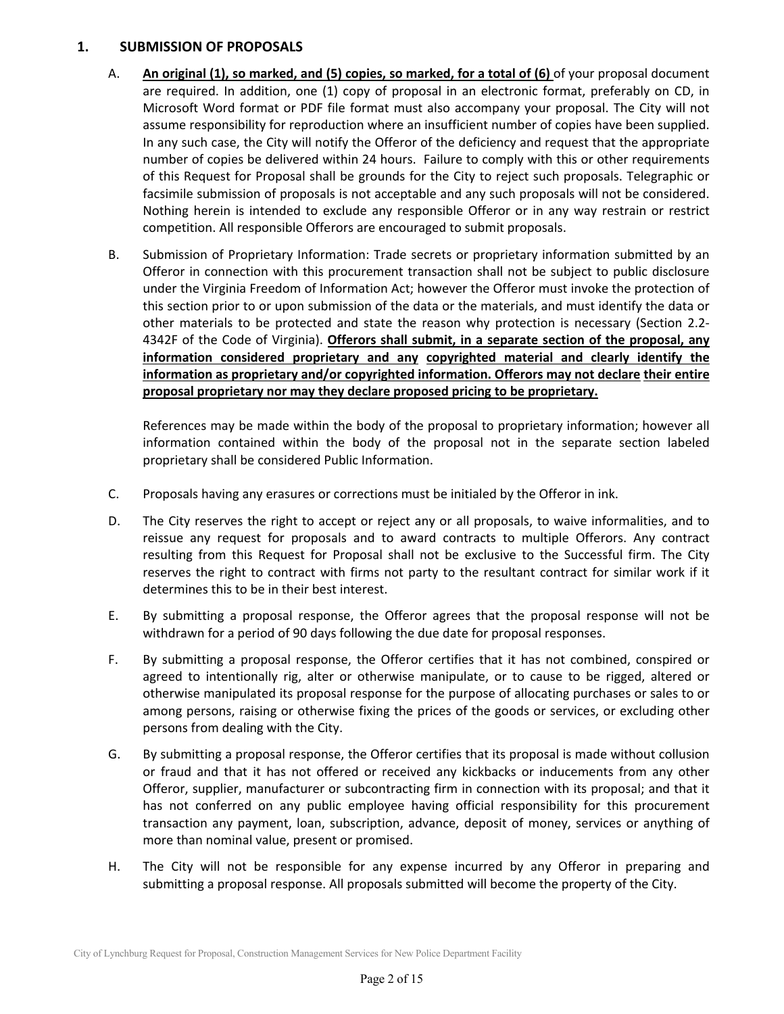### **1. SUBMISSION OF PROPOSALS**

- A. **An original (1), so marked, and (5) copies, so marked, for a total of (6)** of your proposal document are required. In addition, one (1) copy of proposal in an electronic format, preferably on CD, in Microsoft Word format or PDF file format must also accompany your proposal. The City will not assume responsibility for reproduction where an insufficient number of copies have been supplied. In any such case, the City will notify the Offeror of the deficiency and request that the appropriate number of copies be delivered within 24 hours. Failure to comply with this or other requirements of this Request for Proposal shall be grounds for the City to reject such proposals. Telegraphic or facsimile submission of proposals is not acceptable and any such proposals will not be considered. Nothing herein is intended to exclude any responsible Offeror or in any way restrain or restrict competition. All responsible Offerors are encouraged to submit proposals.
- B. Submission of Proprietary Information: Trade secrets or proprietary information submitted by an Offeror in connection with this procurement transaction shall not be subject to public disclosure under the Virginia Freedom of Information Act; however the Offeror must invoke the protection of this section prior to or upon submission of the data or the materials, and must identify the data or other materials to be protected and state the reason why protection is necessary (Section 2.2-4342F of the Code of Virginia). **Offerors shall submit, in a separate section of the proposal, any information considered proprietary and any copyrighted material and clearly identify the information as proprietary and/or copyrighted information. Offerors may not declare their entire proposal proprietary nor may they declare proposed pricing to be proprietary.**

 References may be made within the body of the proposal to proprietary information; however all information contained within the body of the proposal not in the separate section labeled proprietary shall be considered Public Information.

- C. Proposals having any erasures or corrections must be initialed by the Offeror in ink.
- D. The City reserves the right to accept or reject any or all proposals, to waive informalities, and to reissue any request for proposals and to award contracts to multiple Offerors. Any contract resulting from this Request for Proposal shall not be exclusive to the Successful firm. The City reserves the right to contract with firms not party to the resultant contract for similar work if it determines this to be in their best interest.
- E. By submitting a proposal response, the Offeror agrees that the proposal response will not be withdrawn for a period of 90 days following the due date for proposal responses.
- F. By submitting a proposal response, the Offeror certifies that it has not combined, conspired or agreed to intentionally rig, alter or otherwise manipulate, or to cause to be rigged, altered or otherwise manipulated its proposal response for the purpose of allocating purchases or sales to or among persons, raising or otherwise fixing the prices of the goods or services, or excluding other persons from dealing with the City.
- G. By submitting a proposal response, the Offeror certifies that its proposal is made without collusion or fraud and that it has not offered or received any kickbacks or inducements from any other Offeror, supplier, manufacturer or subcontracting firm in connection with its proposal; and that it has not conferred on any public employee having official responsibility for this procurement transaction any payment, loan, subscription, advance, deposit of money, services or anything of more than nominal value, present or promised.
- H. The City will not be responsible for any expense incurred by any Offeror in preparing and submitting a proposal response. All proposals submitted will become the property of the City.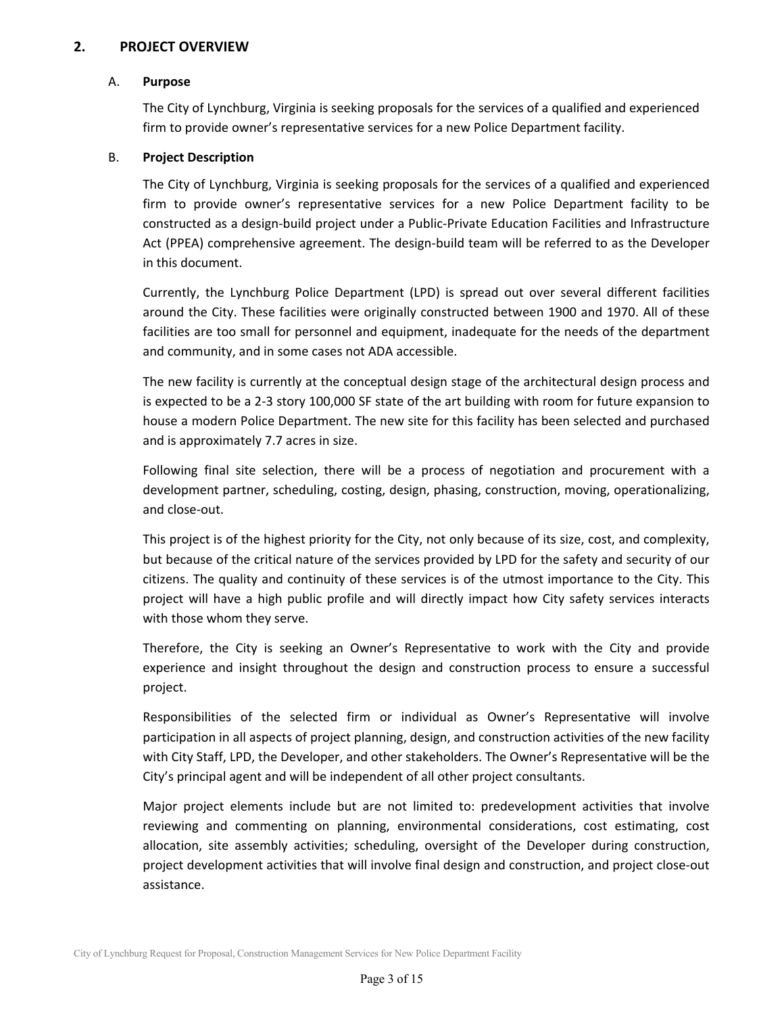## **2. PROJECT OVERVIEW**

### A. **Purpose**

The City of Lynchburg, Virginia is seeking proposals for the services of a qualified and experienced firm to provide owner's representative services for a new Police Department facility.

## B.  **Project Description**

The City of Lynchburg, Virginia is seeking proposals for the services of a qualified and experienced firm to provide owner's representative services for a new Police Department facility to be constructed as a design‐build project under a Public‐Private Education Facilities and Infrastructure Act (PPEA) comprehensive agreement. The design-build team will be referred to as the Developer in this document.

Currently, the Lynchburg Police Department (LPD) is spread out over several different facilities around the City. These facilities were originally constructed between 1900 and 1970. All of these facilities are too small for personnel and equipment, inadequate for the needs of the department and community, and in some cases not ADA accessible.

The new facility is currently at the conceptual design stage of the architectural design process and is expected to be a 2‐3 story 100,000 SF state of the art building with room for future expansion to house a modern Police Department. The new site for this facility has been selected and purchased and is approximately 7.7 acres in size.

Following final site selection, there will be a process of negotiation and procurement with a development partner, scheduling, costing, design, phasing, construction, moving, operationalizing, and close‐out.

This project is of the highest priority for the City, not only because of its size, cost, and complexity, but because of the critical nature of the services provided by LPD for the safety and security of our citizens. The quality and continuity of these services is of the utmost importance to the City. This project will have a high public profile and will directly impact how City safety services interacts with those whom they serve.

Therefore, the City is seeking an Owner's Representative to work with the City and provide experience and insight throughout the design and construction process to ensure a successful project.

Responsibilities of the selected firm or individual as Owner's Representative will involve participation in all aspects of project planning, design, and construction activities of the new facility with City Staff, LPD, the Developer, and other stakeholders. The Owner's Representative will be the City's principal agent and will be independent of all other project consultants.

Major project elements include but are not limited to: predevelopment activities that involve reviewing and commenting on planning, environmental considerations, cost estimating, cost allocation, site assembly activities; scheduling, oversight of the Developer during construction, project development activities that will involve final design and construction, and project close-out assistance.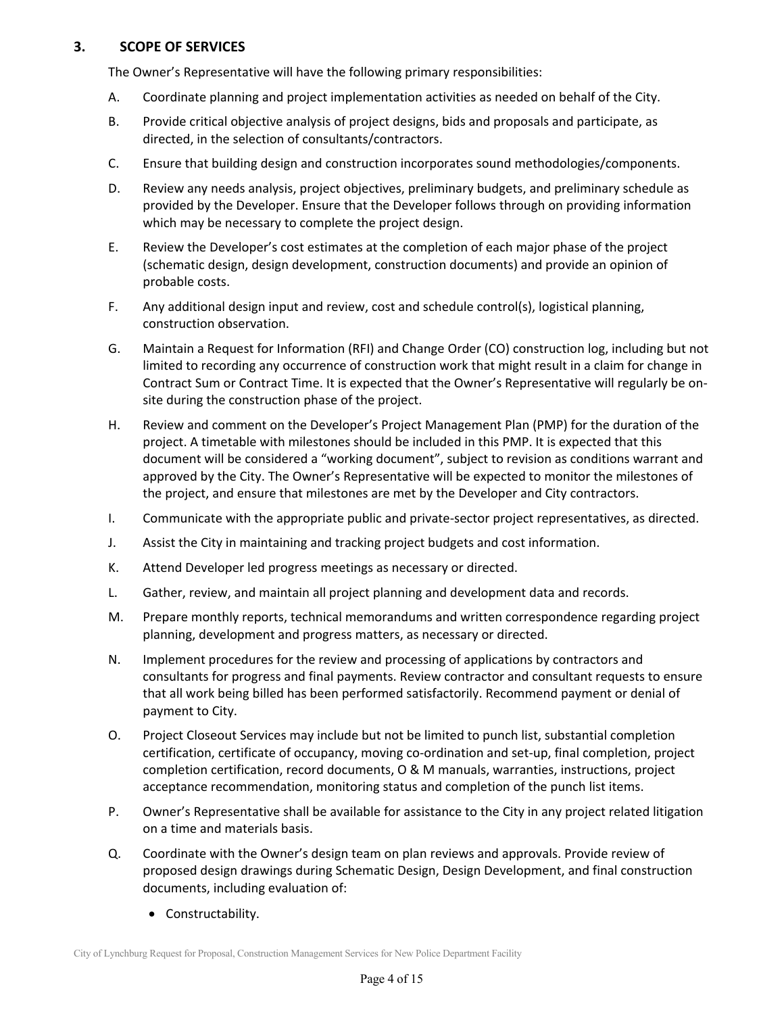## **3. SCOPE OF SERVICES**

The Owner's Representative will have the following primary responsibilities:

- A. Coordinate planning and project implementation activities as needed on behalf of the City.
- B. Provide critical objective analysis of project designs, bids and proposals and participate, as directed, in the selection of consultants/contractors.
- C. Ensure that building design and construction incorporates sound methodologies/components.
- D. Review any needs analysis, project objectives, preliminary budgets, and preliminary schedule as provided by the Developer. Ensure that the Developer follows through on providing information which may be necessary to complete the project design.
- E. Review the Developer's cost estimates at the completion of each major phase of the project (schematic design, design development, construction documents) and provide an opinion of probable costs.
- F. Any additional design input and review, cost and schedule control(s), logistical planning, construction observation.
- G. Maintain a Request for Information (RFI) and Change Order (CO) construction log, including but not limited to recording any occurrence of construction work that might result in a claim for change in Contract Sum or Contract Time. It is expected that the Owner's Representative will regularly be on‐ site during the construction phase of the project.
- H. Review and comment on the Developer's Project Management Plan (PMP) for the duration of the project. A timetable with milestones should be included in this PMP. It is expected that this document will be considered a "working document", subject to revision as conditions warrant and approved by the City. The Owner's Representative will be expected to monitor the milestones of the project, and ensure that milestones are met by the Developer and City contractors.
- I. Communicate with the appropriate public and private‐sector project representatives, as directed.
- J. Assist the City in maintaining and tracking project budgets and cost information.
- K. Attend Developer led progress meetings as necessary or directed.
- L. Gather, review, and maintain all project planning and development data and records.
- M. Prepare monthly reports, technical memorandums and written correspondence regarding project planning, development and progress matters, as necessary or directed.
- N. Implement procedures for the review and processing of applications by contractors and consultants for progress and final payments. Review contractor and consultant requests to ensure that all work being billed has been performed satisfactorily. Recommend payment or denial of payment to City.
- O. Project Closeout Services may include but not be limited to punch list, substantial completion certification, certificate of occupancy, moving co-ordination and set-up, final completion, project completion certification, record documents, O & M manuals, warranties, instructions, project acceptance recommendation, monitoring status and completion of the punch list items.
- P. Owner's Representative shall be available for assistance to the City in any project related litigation on a time and materials basis.
- Q. Coordinate with the Owner's design team on plan reviews and approvals. Provide review of proposed design drawings during Schematic Design, Design Development, and final construction documents, including evaluation of:
	- Constructability.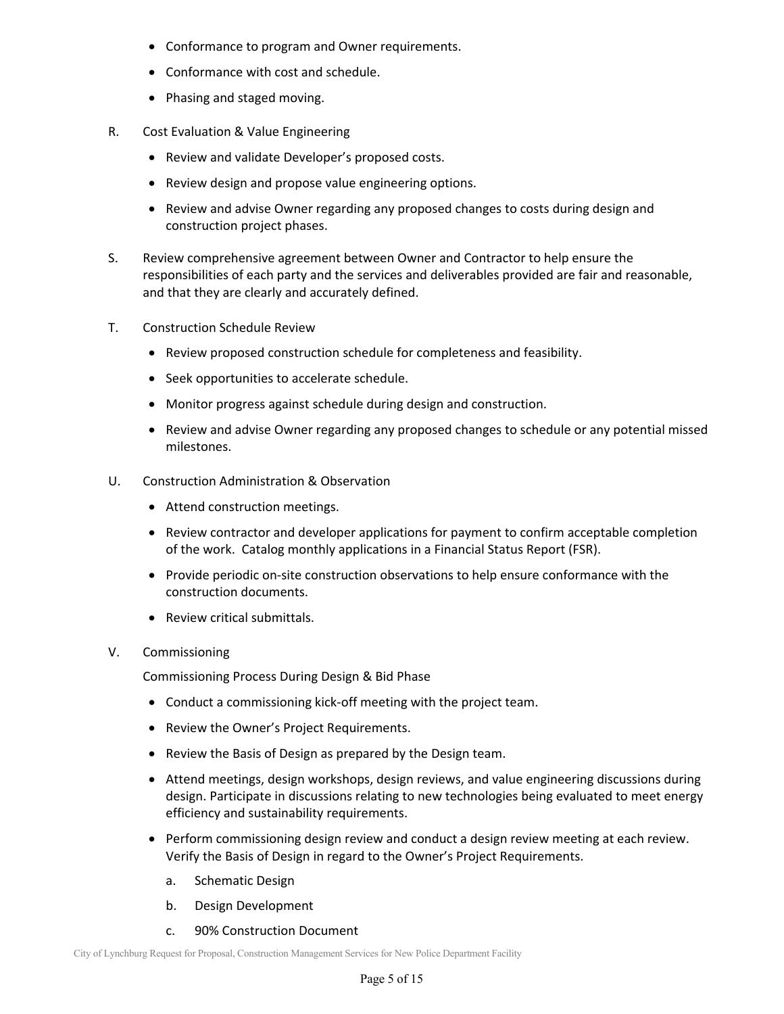- Conformance to program and Owner requirements.
- Conformance with cost and schedule.
- Phasing and staged moving.
- R. Cost Evaluation & Value Engineering
	- Review and validate Developer's proposed costs.
	- Review design and propose value engineering options.
	- Review and advise Owner regarding any proposed changes to costs during design and construction project phases.
- S. Review comprehensive agreement between Owner and Contractor to help ensure the responsibilities of each party and the services and deliverables provided are fair and reasonable, and that they are clearly and accurately defined.
- T. Construction Schedule Review
	- Review proposed construction schedule for completeness and feasibility.
	- Seek opportunities to accelerate schedule.
	- Monitor progress against schedule during design and construction.
	- Review and advise Owner regarding any proposed changes to schedule or any potential missed milestones.
- U. Construction Administration & Observation
	- Attend construction meetings.
	- Review contractor and developer applications for payment to confirm acceptable completion of the work. Catalog monthly applications in a Financial Status Report (FSR).
	- Provide periodic on-site construction observations to help ensure conformance with the construction documents.
	- Review critical submittals.
- V. Commissioning

Commissioning Process During Design & Bid Phase

- Conduct a commissioning kick-off meeting with the project team.
- Review the Owner's Project Requirements.
- Review the Basis of Design as prepared by the Design team.
- Attend meetings, design workshops, design reviews, and value engineering discussions during design. Participate in discussions relating to new technologies being evaluated to meet energy efficiency and sustainability requirements.
- Perform commissioning design review and conduct a design review meeting at each review. Verify the Basis of Design in regard to the Owner's Project Requirements.
	- a. Schematic Design
	- b. Design Development
	- c. 90% Construction Document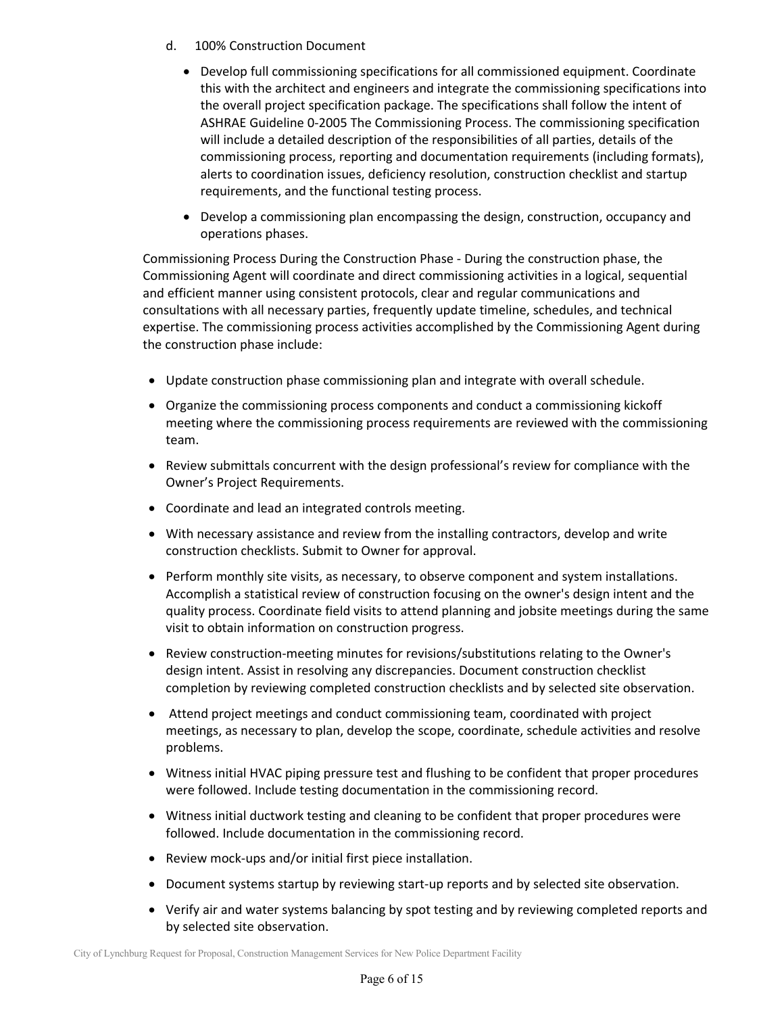- d. 100% Construction Document
	- Develop full commissioning specifications for all commissioned equipment. Coordinate this with the architect and engineers and integrate the commissioning specifications into the overall project specification package. The specifications shall follow the intent of ASHRAE Guideline 0‐2005 The Commissioning Process. The commissioning specification will include a detailed description of the responsibilities of all parties, details of the commissioning process, reporting and documentation requirements (including formats), alerts to coordination issues, deficiency resolution, construction checklist and startup requirements, and the functional testing process.
	- Develop a commissioning plan encompassing the design, construction, occupancy and operations phases.

Commissioning Process During the Construction Phase ‐ During the construction phase, the Commissioning Agent will coordinate and direct commissioning activities in a logical, sequential and efficient manner using consistent protocols, clear and regular communications and consultations with all necessary parties, frequently update timeline, schedules, and technical expertise. The commissioning process activities accomplished by the Commissioning Agent during the construction phase include:

- Update construction phase commissioning plan and integrate with overall schedule.
- Organize the commissioning process components and conduct a commissioning kickoff meeting where the commissioning process requirements are reviewed with the commissioning team.
- Review submittals concurrent with the design professional's review for compliance with the Owner's Project Requirements.
- Coordinate and lead an integrated controls meeting.
- With necessary assistance and review from the installing contractors, develop and write construction checklists. Submit to Owner for approval.
- Perform monthly site visits, as necessary, to observe component and system installations. Accomplish a statistical review of construction focusing on the owner's design intent and the quality process. Coordinate field visits to attend planning and jobsite meetings during the same visit to obtain information on construction progress.
- Review construction-meeting minutes for revisions/substitutions relating to the Owner's design intent. Assist in resolving any discrepancies. Document construction checklist completion by reviewing completed construction checklists and by selected site observation.
- Attend project meetings and conduct commissioning team, coordinated with project meetings, as necessary to plan, develop the scope, coordinate, schedule activities and resolve problems.
- Witness initial HVAC piping pressure test and flushing to be confident that proper procedures were followed. Include testing documentation in the commissioning record.
- Witness initial ductwork testing and cleaning to be confident that proper procedures were followed. Include documentation in the commissioning record.
- Review mock-ups and/or initial first piece installation.
- Document systems startup by reviewing start-up reports and by selected site observation.
- Verify air and water systems balancing by spot testing and by reviewing completed reports and by selected site observation.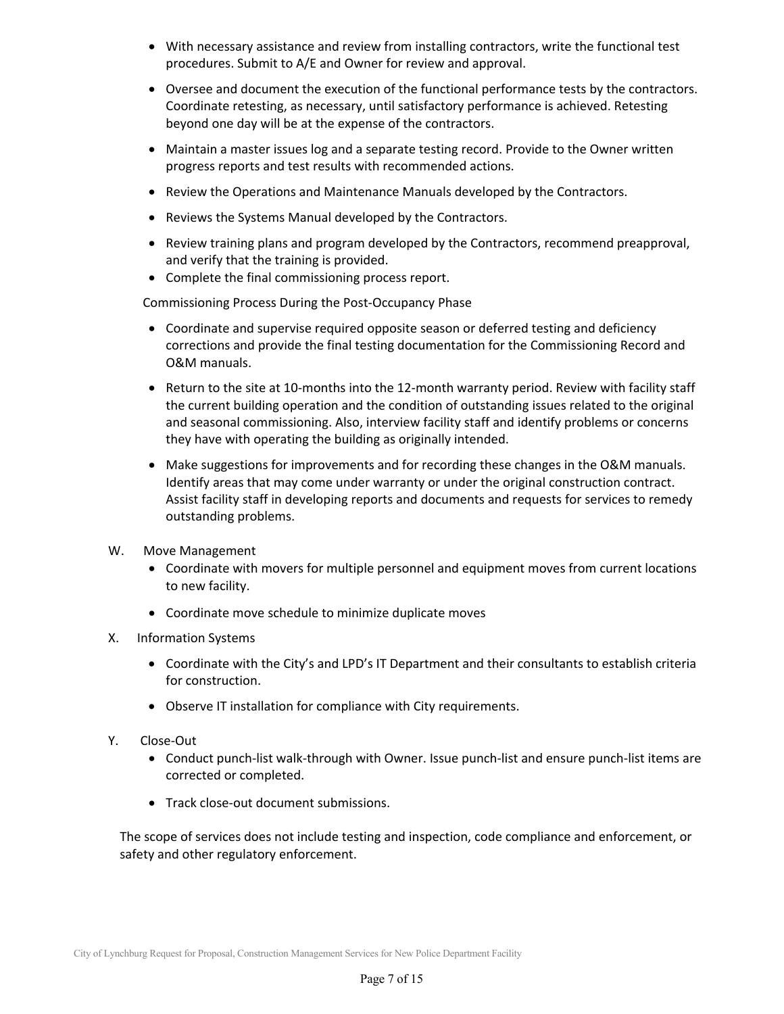- With necessary assistance and review from installing contractors, write the functional test procedures. Submit to A/E and Owner for review and approval.
- Oversee and document the execution of the functional performance tests by the contractors. Coordinate retesting, as necessary, until satisfactory performance is achieved. Retesting beyond one day will be at the expense of the contractors.
- Maintain a master issues log and a separate testing record. Provide to the Owner written progress reports and test results with recommended actions.
- Review the Operations and Maintenance Manuals developed by the Contractors.
- Reviews the Systems Manual developed by the Contractors.
- Review training plans and program developed by the Contractors, recommend preapproval, and verify that the training is provided.
- Complete the final commissioning process report.

Commissioning Process During the Post‐Occupancy Phase

- Coordinate and supervise required opposite season or deferred testing and deficiency corrections and provide the final testing documentation for the Commissioning Record and O&M manuals.
- Return to the site at 10-months into the 12-month warranty period. Review with facility staff the current building operation and the condition of outstanding issues related to the original and seasonal commissioning. Also, interview facility staff and identify problems or concerns they have with operating the building as originally intended.
- Make suggestions for improvements and for recording these changes in the O&M manuals. Identify areas that may come under warranty or under the original construction contract. Assist facility staff in developing reports and documents and requests for services to remedy outstanding problems.
- W. Move Management
	- Coordinate with movers for multiple personnel and equipment moves from current locations to new facility.
	- Coordinate move schedule to minimize duplicate moves
- X. Information Systems
	- Coordinate with the City's and LPD's IT Department and their consultants to establish criteria for construction.
	- Observe IT installation for compliance with City requirements.
- Y. Close‐Out
	- Conduct punch-list walk-through with Owner. Issue punch-list and ensure punch-list items are corrected or completed.
	- Track close-out document submissions.

The scope of services does not include testing and inspection, code compliance and enforcement, or safety and other regulatory enforcement.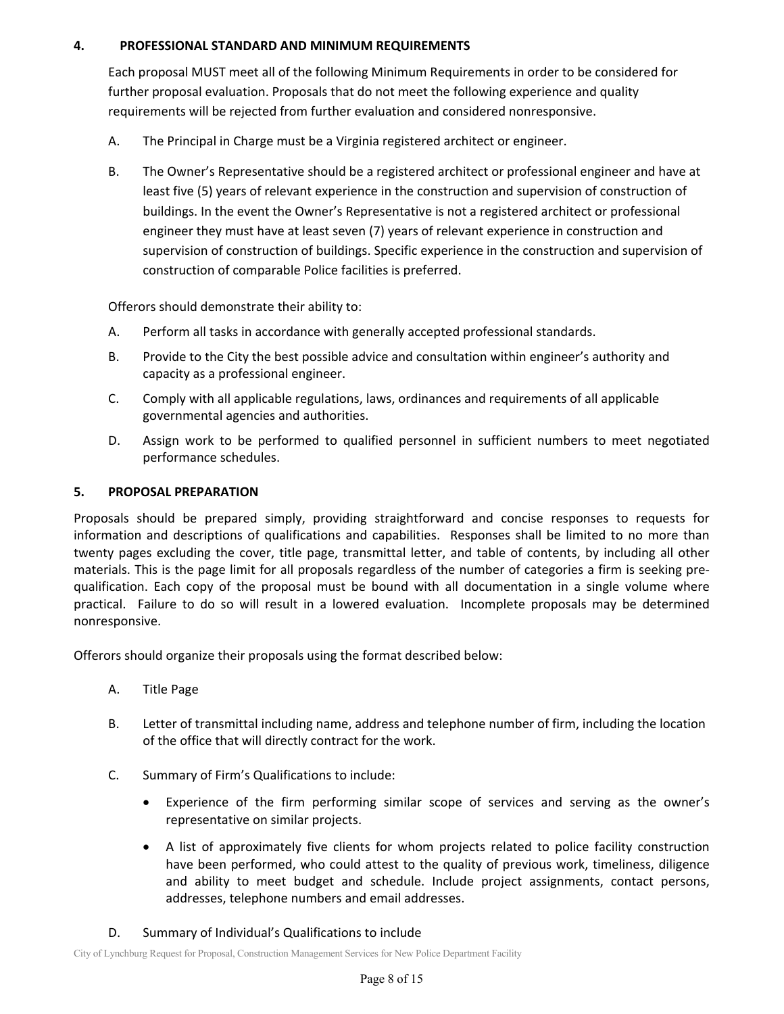## **4. PROFESSIONAL STANDARD AND MINIMUM REQUIREMENTS**

Each proposal MUST meet all of the following Minimum Requirements in order to be considered for further proposal evaluation. Proposals that do not meet the following experience and quality requirements will be rejected from further evaluation and considered nonresponsive.

- A. The Principal in Charge must be a Virginia registered architect or engineer.
- B. The Owner's Representative should be a registered architect or professional engineer and have at least five (5) years of relevant experience in the construction and supervision of construction of buildings. In the event the Owner's Representative is not a registered architect or professional engineer they must have at least seven (7) years of relevant experience in construction and supervision of construction of buildings. Specific experience in the construction and supervision of construction of comparable Police facilities is preferred.

Offerors should demonstrate their ability to:

- A. Perform all tasks in accordance with generally accepted professional standards.
- B. Provide to the City the best possible advice and consultation within engineer's authority and capacity as a professional engineer.
- C. Comply with all applicable regulations, laws, ordinances and requirements of all applicable governmental agencies and authorities.
- D. Assign work to be performed to qualified personnel in sufficient numbers to meet negotiated performance schedules.

# **5. PROPOSAL PREPARATION**

Proposals should be prepared simply, providing straightforward and concise responses to requests for information and descriptions of qualifications and capabilities. Responses shall be limited to no more than twenty pages excluding the cover, title page, transmittal letter, and table of contents, by including all other materials. This is the page limit for all proposals regardless of the number of categories a firm is seeking pre‐ qualification. Each copy of the proposal must be bound with all documentation in a single volume where practical. Failure to do so will result in a lowered evaluation. Incomplete proposals may be determined nonresponsive.

Offerors should organize their proposals using the format described below:

- A. Title Page
- B. Letter of transmittal including name, address and telephone number of firm, including the location of the office that will directly contract for the work.
- C. Summary of Firm's Qualifications to include:
	- Experience of the firm performing similar scope of services and serving as the owner's representative on similar projects.
	- A list of approximately five clients for whom projects related to police facility construction have been performed, who could attest to the quality of previous work, timeliness, diligence and ability to meet budget and schedule. Include project assignments, contact persons, addresses, telephone numbers and email addresses.

## D. Summary of Individual's Qualifications to include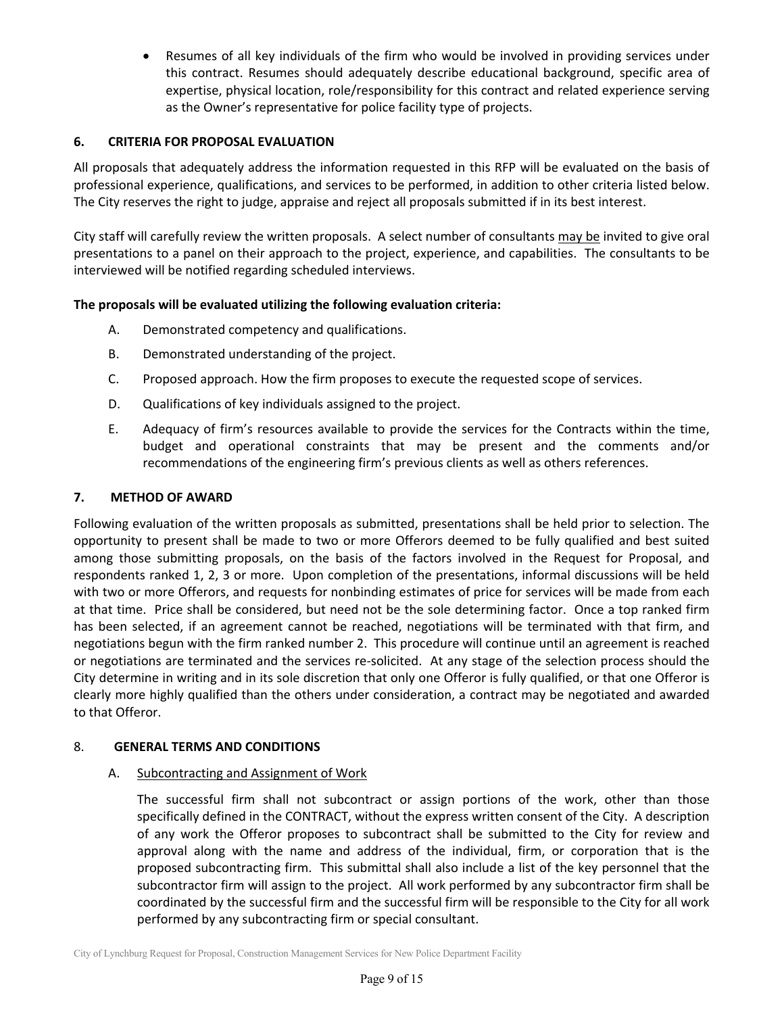Resumes of all key individuals of the firm who would be involved in providing services under this contract. Resumes should adequately describe educational background, specific area of expertise, physical location, role/responsibility for this contract and related experience serving as the Owner's representative for police facility type of projects.

## **6. CRITERIA FOR PROPOSAL EVALUATION**

All proposals that adequately address the information requested in this RFP will be evaluated on the basis of professional experience, qualifications, and services to be performed, in addition to other criteria listed below. The City reserves the right to judge, appraise and reject all proposals submitted if in its best interest.

City staff will carefully review the written proposals. A select number of consultants may be invited to give oral presentations to a panel on their approach to the project, experience, and capabilities. The consultants to be interviewed will be notified regarding scheduled interviews.

## **The proposals will be evaluated utilizing the following evaluation criteria:**

- A. Demonstrated competency and qualifications.
- B. Demonstrated understanding of the project.
- C. Proposed approach. How the firm proposes to execute the requested scope of services.
- D. Qualifications of key individuals assigned to the project.
- E. Adequacy of firm's resources available to provide the services for the Contracts within the time, budget and operational constraints that may be present and the comments and/or recommendations of the engineering firm's previous clients as well as others references.

#### **7. METHOD OF AWARD**

Following evaluation of the written proposals as submitted, presentations shall be held prior to selection. The opportunity to present shall be made to two or more Offerors deemed to be fully qualified and best suited among those submitting proposals, on the basis of the factors involved in the Request for Proposal, and respondents ranked 1, 2, 3 or more. Upon completion of the presentations, informal discussions will be held with two or more Offerors, and requests for nonbinding estimates of price for services will be made from each at that time. Price shall be considered, but need not be the sole determining factor. Once a top ranked firm has been selected, if an agreement cannot be reached, negotiations will be terminated with that firm, and negotiations begun with the firm ranked number 2. This procedure will continue until an agreement is reached or negotiations are terminated and the services re‐solicited. At any stage of the selection process should the City determine in writing and in its sole discretion that only one Offeror is fully qualified, or that one Offeror is clearly more highly qualified than the others under consideration, a contract may be negotiated and awarded to that Offeror.

#### 8. **GENERAL TERMS AND CONDITIONS**

#### A. Subcontracting and Assignment of Work

The successful firm shall not subcontract or assign portions of the work, other than those specifically defined in the CONTRACT, without the express written consent of the City. A description of any work the Offeror proposes to subcontract shall be submitted to the City for review and approval along with the name and address of the individual, firm, or corporation that is the proposed subcontracting firm. This submittal shall also include a list of the key personnel that the subcontractor firm will assign to the project. All work performed by any subcontractor firm shall be coordinated by the successful firm and the successful firm will be responsible to the City for all work performed by any subcontracting firm or special consultant.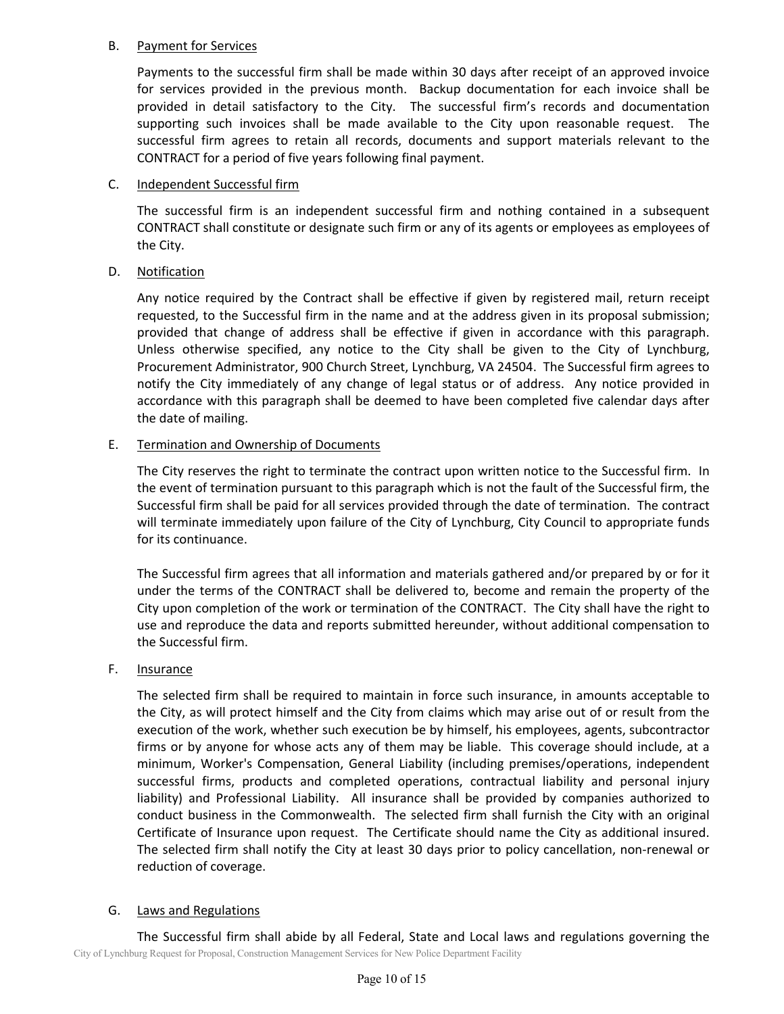## B. Payment for Services

Payments to the successful firm shall be made within 30 days after receipt of an approved invoice for services provided in the previous month. Backup documentation for each invoice shall be provided in detail satisfactory to the City. The successful firm's records and documentation supporting such invoices shall be made available to the City upon reasonable request. The successful firm agrees to retain all records, documents and support materials relevant to the CONTRACT for a period of five years following final payment.

## C. Independent Successful firm

The successful firm is an independent successful firm and nothing contained in a subsequent CONTRACT shall constitute or designate such firm or any of its agents or employees as employees of the City.

### D. Notification

Any notice required by the Contract shall be effective if given by registered mail, return receipt requested, to the Successful firm in the name and at the address given in its proposal submission; provided that change of address shall be effective if given in accordance with this paragraph. Unless otherwise specified, any notice to the City shall be given to the City of Lynchburg, Procurement Administrator, 900 Church Street, Lynchburg, VA 24504. The Successful firm agrees to notify the City immediately of any change of legal status or of address. Any notice provided in accordance with this paragraph shall be deemed to have been completed five calendar days after the date of mailing.

### E. Termination and Ownership of Documents

The City reserves the right to terminate the contract upon written notice to the Successful firm. In the event of termination pursuant to this paragraph which is not the fault of the Successful firm, the Successful firm shall be paid for all services provided through the date of termination. The contract will terminate immediately upon failure of the City of Lynchburg, City Council to appropriate funds for its continuance.

The Successful firm agrees that all information and materials gathered and/or prepared by or for it under the terms of the CONTRACT shall be delivered to, become and remain the property of the City upon completion of the work or termination of the CONTRACT. The City shall have the right to use and reproduce the data and reports submitted hereunder, without additional compensation to the Successful firm.

## F. Insurance

The selected firm shall be required to maintain in force such insurance, in amounts acceptable to the City, as will protect himself and the City from claims which may arise out of or result from the execution of the work, whether such execution be by himself, his employees, agents, subcontractor firms or by anyone for whose acts any of them may be liable. This coverage should include, at a minimum, Worker's Compensation, General Liability (including premises/operations, independent successful firms, products and completed operations, contractual liability and personal injury liability) and Professional Liability. All insurance shall be provided by companies authorized to conduct business in the Commonwealth. The selected firm shall furnish the City with an original Certificate of Insurance upon request. The Certificate should name the City as additional insured. The selected firm shall notify the City at least 30 days prior to policy cancellation, non-renewal or reduction of coverage.

## G. Laws and Regulations

City of Lynchburg Request for Proposal, Construction Management Services for New Police Department Facility The Successful firm shall abide by all Federal, State and Local laws and regulations governing the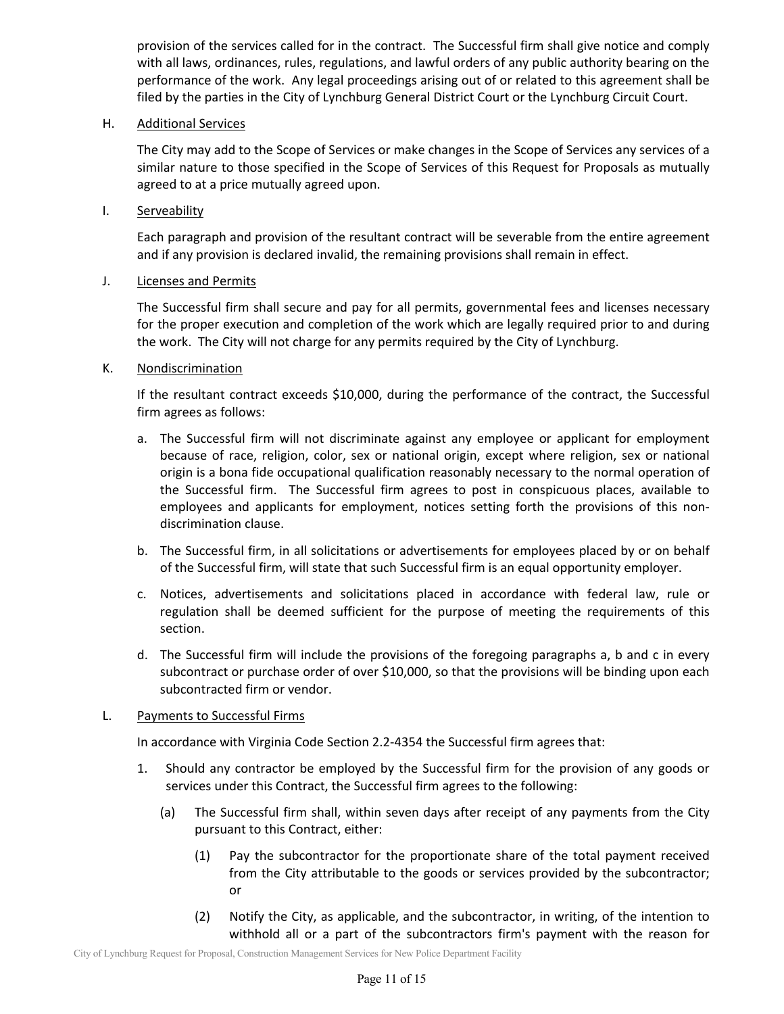provision of the services called for in the contract. The Successful firm shall give notice and comply with all laws, ordinances, rules, regulations, and lawful orders of any public authority bearing on the performance of the work. Any legal proceedings arising out of or related to this agreement shall be filed by the parties in the City of Lynchburg General District Court or the Lynchburg Circuit Court.

### H. Additional Services

The City may add to the Scope of Services or make changes in the Scope of Services any services of a similar nature to those specified in the Scope of Services of this Request for Proposals as mutually agreed to at a price mutually agreed upon.

I. Serveability

Each paragraph and provision of the resultant contract will be severable from the entire agreement and if any provision is declared invalid, the remaining provisions shall remain in effect.

### J. Licenses and Permits

The Successful firm shall secure and pay for all permits, governmental fees and licenses necessary for the proper execution and completion of the work which are legally required prior to and during the work. The City will not charge for any permits required by the City of Lynchburg.

### K. Nondiscrimination

If the resultant contract exceeds \$10,000, during the performance of the contract, the Successful firm agrees as follows:

- a. The Successful firm will not discriminate against any employee or applicant for employment because of race, religion, color, sex or national origin, except where religion, sex or national origin is a bona fide occupational qualification reasonably necessary to the normal operation of the Successful firm. The Successful firm agrees to post in conspicuous places, available to employees and applicants for employment, notices setting forth the provisions of this nondiscrimination clause.
- b. The Successful firm, in all solicitations or advertisements for employees placed by or on behalf of the Successful firm, will state that such Successful firm is an equal opportunity employer.
- c. Notices, advertisements and solicitations placed in accordance with federal law, rule or regulation shall be deemed sufficient for the purpose of meeting the requirements of this section.
- d. The Successful firm will include the provisions of the foregoing paragraphs a, b and c in every subcontract or purchase order of over \$10,000, so that the provisions will be binding upon each subcontracted firm or vendor.

## L. Payments to Successful Firms

In accordance with Virginia Code Section 2.2‐4354 the Successful firm agrees that:

- 1. Should any contractor be employed by the Successful firm for the provision of any goods or services under this Contract, the Successful firm agrees to the following:
	- (a) The Successful firm shall, within seven days after receipt of any payments from the City pursuant to this Contract, either:
		- (1) Pay the subcontractor for the proportionate share of the total payment received from the City attributable to the goods or services provided by the subcontractor; or
		- (2) Notify the City, as applicable, and the subcontractor, in writing, of the intention to withhold all or a part of the subcontractors firm's payment with the reason for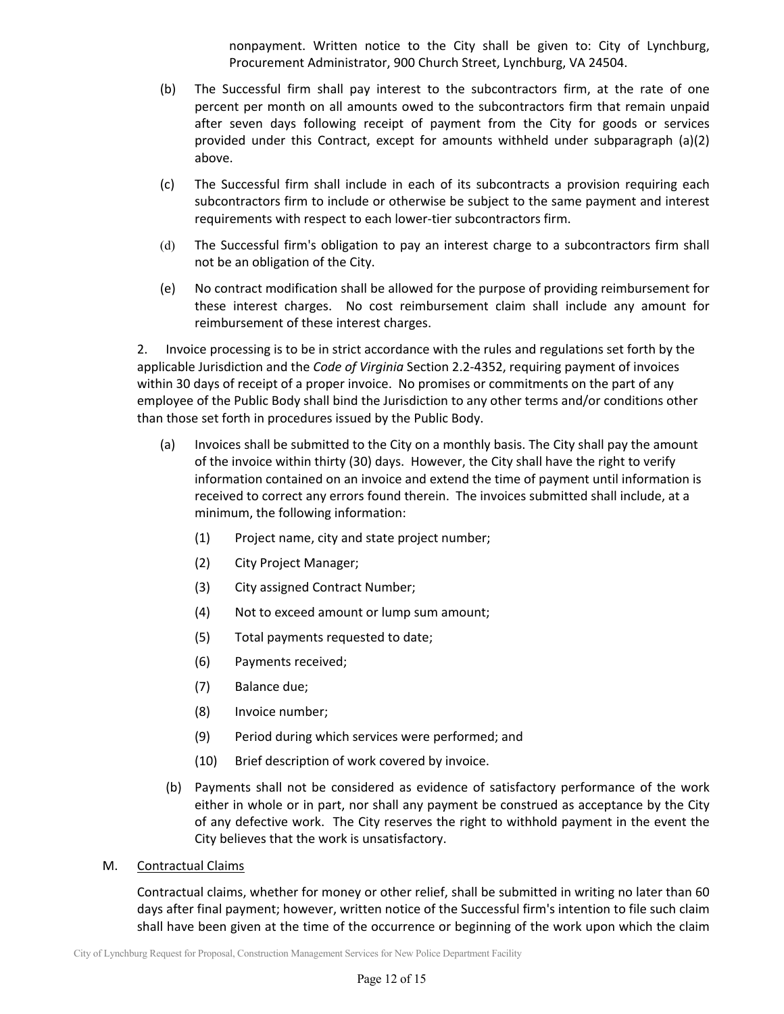nonpayment. Written notice to the City shall be given to: City of Lynchburg, Procurement Administrator, 900 Church Street, Lynchburg, VA 24504.

- (b) The Successful firm shall pay interest to the subcontractors firm, at the rate of one percent per month on all amounts owed to the subcontractors firm that remain unpaid after seven days following receipt of payment from the City for goods or services provided under this Contract, except for amounts withheld under subparagraph (a)(2) above.
- (c) The Successful firm shall include in each of its subcontracts a provision requiring each subcontractors firm to include or otherwise be subject to the same payment and interest requirements with respect to each lower-tier subcontractors firm.
- (d) The Successful firm's obligation to pay an interest charge to a subcontractors firm shall not be an obligation of the City.
- (e) No contract modification shall be allowed for the purpose of providing reimbursement for these interest charges. No cost reimbursement claim shall include any amount for reimbursement of these interest charges.

2. Invoice processing is to be in strict accordance with the rules and regulations set forth by the applicable Jurisdiction and the *Code of Virginia* Section 2.2‐4352, requiring payment of invoices within 30 days of receipt of a proper invoice. No promises or commitments on the part of any employee of the Public Body shall bind the Jurisdiction to any other terms and/or conditions other than those set forth in procedures issued by the Public Body.

- (a) Invoices shall be submitted to the City on a monthly basis. The City shall pay the amount of the invoice within thirty (30) days. However, the City shall have the right to verify information contained on an invoice and extend the time of payment until information is received to correct any errors found therein. The invoices submitted shall include, at a minimum, the following information:
	- (1) Project name, city and state project number;
	- (2) City Project Manager;
	- (3) City assigned Contract Number;
	- (4) Not to exceed amount or lump sum amount;
	- (5) Total payments requested to date;
	- (6) Payments received;
	- (7) Balance due;
	- (8) Invoice number;
	- (9) Period during which services were performed; and
	- (10) Brief description of work covered by invoice.
- (b) Payments shall not be considered as evidence of satisfactory performance of the work either in whole or in part, nor shall any payment be construed as acceptance by the City of any defective work. The City reserves the right to withhold payment in the event the City believes that the work is unsatisfactory.
- M. Contractual Claims

Contractual claims, whether for money or other relief, shall be submitted in writing no later than 60 days after final payment; however, written notice of the Successful firm's intention to file such claim shall have been given at the time of the occurrence or beginning of the work upon which the claim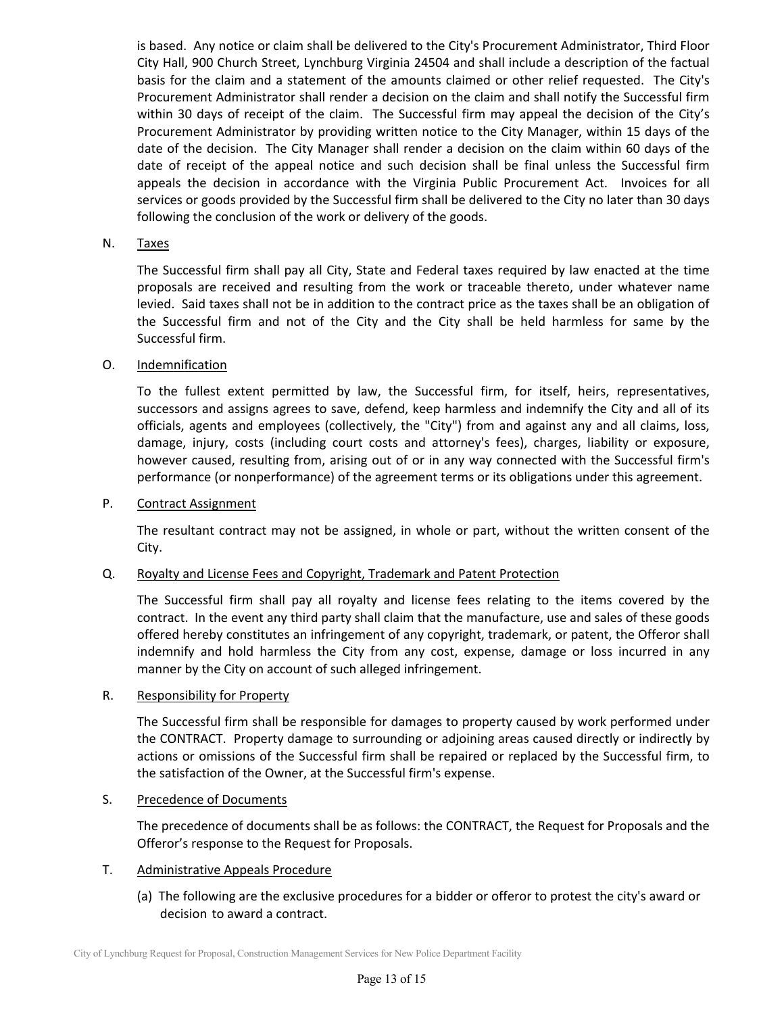is based. Any notice or claim shall be delivered to the City's Procurement Administrator, Third Floor City Hall, 900 Church Street, Lynchburg Virginia 24504 and shall include a description of the factual basis for the claim and a statement of the amounts claimed or other relief requested. The City's Procurement Administrator shall render a decision on the claim and shall notify the Successful firm within 30 days of receipt of the claim. The Successful firm may appeal the decision of the City's Procurement Administrator by providing written notice to the City Manager, within 15 days of the date of the decision. The City Manager shall render a decision on the claim within 60 days of the date of receipt of the appeal notice and such decision shall be final unless the Successful firm appeals the decision in accordance with the Virginia Public Procurement Act. Invoices for all services or goods provided by the Successful firm shall be delivered to the City no later than 30 days following the conclusion of the work or delivery of the goods.

### N. Taxes

The Successful firm shall pay all City, State and Federal taxes required by law enacted at the time proposals are received and resulting from the work or traceable thereto, under whatever name levied. Said taxes shall not be in addition to the contract price as the taxes shall be an obligation of the Successful firm and not of the City and the City shall be held harmless for same by the Successful firm.

### O. Indemnification

To the fullest extent permitted by law, the Successful firm, for itself, heirs, representatives, successors and assigns agrees to save, defend, keep harmless and indemnify the City and all of its officials, agents and employees (collectively, the "City") from and against any and all claims, loss, damage, injury, costs (including court costs and attorney's fees), charges, liability or exposure, however caused, resulting from, arising out of or in any way connected with the Successful firm's performance (or nonperformance) of the agreement terms or its obligations under this agreement.

#### P. Contract Assignment

The resultant contract may not be assigned, in whole or part, without the written consent of the City.

#### Q. Royalty and License Fees and Copyright, Trademark and Patent Protection

The Successful firm shall pay all royalty and license fees relating to the items covered by the contract. In the event any third party shall claim that the manufacture, use and sales of these goods offered hereby constitutes an infringement of any copyright, trademark, or patent, the Offeror shall indemnify and hold harmless the City from any cost, expense, damage or loss incurred in any manner by the City on account of such alleged infringement.

#### R. Responsibility for Property

The Successful firm shall be responsible for damages to property caused by work performed under the CONTRACT. Property damage to surrounding or adjoining areas caused directly or indirectly by actions or omissions of the Successful firm shall be repaired or replaced by the Successful firm, to the satisfaction of the Owner, at the Successful firm's expense.

#### S. Precedence of Documents

The precedence of documents shall be as follows: the CONTRACT, the Request for Proposals and the Offeror's response to the Request for Proposals.

#### T. Administrative Appeals Procedure

 (a) The following are the exclusive procedures for a bidder or offeror to protest the city's award or decision to award a contract.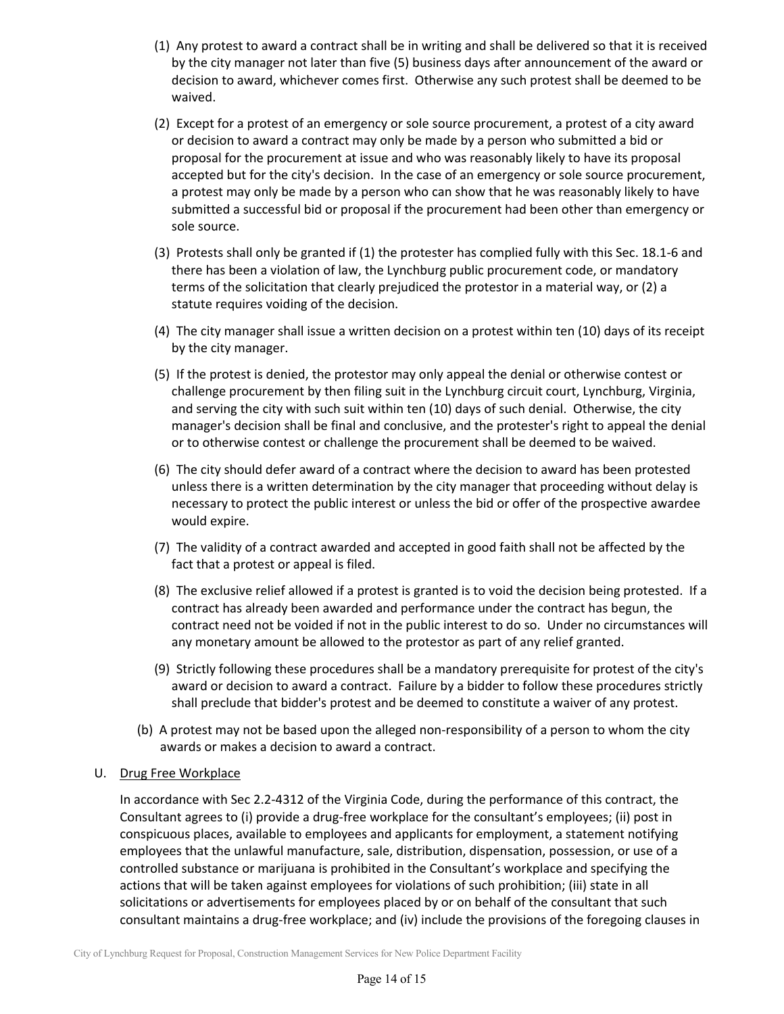- (1) Any protest to award a contract shall be in writing and shall be delivered so that it is received by the city manager not later than five (5) business days after announcement of the award or decision to award, whichever comes first. Otherwise any such protest shall be deemed to be waived.
- (2) Except for a protest of an emergency or sole source procurement, a protest of a city award or decision to award a contract may only be made by a person who submitted a bid or proposal for the procurement at issue and who was reasonably likely to have its proposal accepted but for the city's decision. In the case of an emergency or sole source procurement, a protest may only be made by a person who can show that he was reasonably likely to have submitted a successful bid or proposal if the procurement had been other than emergency or sole source.
- (3) Protests shall only be granted if (1) the protester has complied fully with this Sec. 18.1‐6 and there has been a violation of law, the Lynchburg public procurement code, or mandatory terms of the solicitation that clearly prejudiced the protestor in a material way, or (2) a statute requires voiding of the decision.
- (4) The city manager shall issue a written decision on a protest within ten (10) days of its receipt by the city manager.
- (5) If the protest is denied, the protestor may only appeal the denial or otherwise contest or challenge procurement by then filing suit in the Lynchburg circuit court, Lynchburg, Virginia, and serving the city with such suit within ten (10) days of such denial. Otherwise, the city manager's decision shall be final and conclusive, and the protester's right to appeal the denial or to otherwise contest or challenge the procurement shall be deemed to be waived.
- (6) The city should defer award of a contract where the decision to award has been protested unless there is a written determination by the city manager that proceeding without delay is necessary to protect the public interest or unless the bid or offer of the prospective awardee would expire.
- (7) The validity of a contract awarded and accepted in good faith shall not be affected by the fact that a protest or appeal is filed.
- (8) The exclusive relief allowed if a protest is granted is to void the decision being protested. If a contract has already been awarded and performance under the contract has begun, the contract need not be voided if not in the public interest to do so. Under no circumstances will any monetary amount be allowed to the protestor as part of any relief granted.
- (9) Strictly following these procedures shall be a mandatory prerequisite for protest of the city's award or decision to award a contract. Failure by a bidder to follow these procedures strictly shall preclude that bidder's protest and be deemed to constitute a waiver of any protest.
- (b) A protest may not be based upon the alleged non‐responsibility of a person to whom the city awards or makes a decision to award a contract.

## U. Drug Free Workplace

In accordance with Sec 2.2‐4312 of the Virginia Code, during the performance of this contract, the Consultant agrees to (i) provide a drug‐free workplace for the consultant's employees; (ii) post in conspicuous places, available to employees and applicants for employment, a statement notifying employees that the unlawful manufacture, sale, distribution, dispensation, possession, or use of a controlled substance or marijuana is prohibited in the Consultant's workplace and specifying the actions that will be taken against employees for violations of such prohibition; (iii) state in all solicitations or advertisements for employees placed by or on behalf of the consultant that such consultant maintains a drug‐free workplace; and (iv) include the provisions of the foregoing clauses in